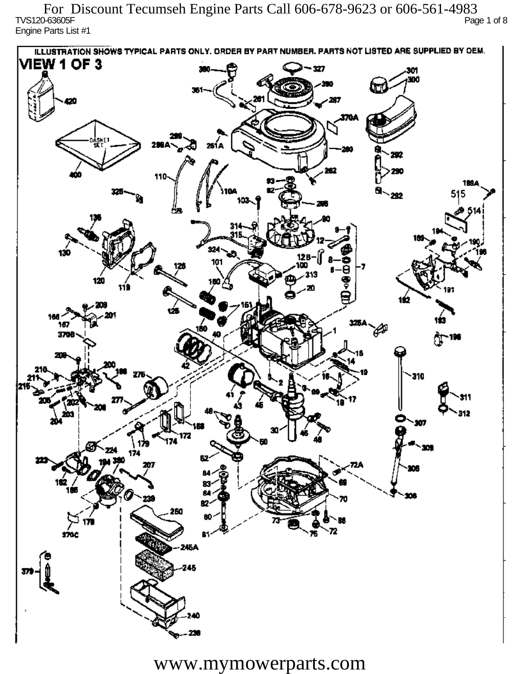TVS120-63605F Page 1 of 8 Engine Parts List #1 For Discount Tecumseh Engine Parts Call 606-678-9623 or 606-561-4983

ILLUSTRATION SHOWS TYPICAL PARTS ONLY. ORDER BY PART NUMBER, PARTS NOT LISTED ARE SUPPLIED BY OEM. **VIEW 1 OF 3** - 327 301 300 20 370A iskF1 261 A ж 292 290 110 1894 515 292 324 130 12 R 101 313 120 دھر 1ś2 ÚБ 160 167 160 P 3709 196 77 310 912 201 O.  $\mathbf{m}$ 172 174 174 182 ÷. ß2 260 72 sioc 76 81 245A 245 40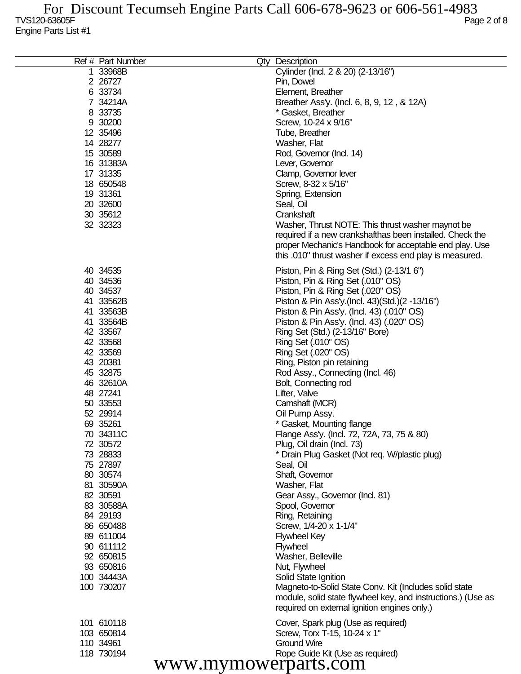| Ref # Part Number    | Qty Description                                              |
|----------------------|--------------------------------------------------------------|
| 1 33968B             | Cylinder (Incl. 2 & 20) (2-13/16")                           |
| 2 26727              | Pin, Dowel                                                   |
| 6 33734              | Element, Breather                                            |
| 7 34214A             | Breather Ass'y. (Incl. 6, 8, 9, 12, & 12A)                   |
| 8 33735              | * Gasket, Breather                                           |
|                      |                                                              |
| 9 30200              | Screw, 10-24 x 9/16"                                         |
| 12 35496             | Tube, Breather                                               |
| 14 28277             | Washer, Flat                                                 |
| 15 30589             | Rod, Governor (Incl. 14)                                     |
| 16 31383A            | Lever, Governor                                              |
| 17 31335             | Clamp, Governor lever                                        |
| 18 650548            | Screw, 8-32 x 5/16"                                          |
| 19 31361             | Spring, Extension                                            |
| 20 32600             | Seal, Oil                                                    |
| 30 35612             | Crankshaft                                                   |
| 32 32323             | Washer, Thrust NOTE: This thrust washer maynot be            |
|                      | required if a new crankshafthas been installed. Check the    |
|                      | proper Mechanic's Handbook for acceptable end play. Use      |
|                      | this .010" thrust washer if excess end play is measured.     |
| 40 34535             | Piston, Pin & Ring Set (Std.) (2-13/1 6")                    |
| 40 34536             | Piston, Pin & Ring Set (.010" OS)                            |
| 40 34537             | Piston, Pin & Ring Set (.020" OS)                            |
| 41 33562B            | Piston & Pin Ass'y (Incl. 43) (Std.) (2 -13/16")             |
| 41 33563B            | Piston & Pin Ass'y. (Incl. 43) (.010" OS)                    |
| 41 33564B            |                                                              |
| 42 33567             | Piston & Pin Ass'y. (Incl. 43) (.020" OS)                    |
| 42 33568             | Ring Set (Std.) (2-13/16" Bore)                              |
|                      | Ring Set (.010" OS)                                          |
| 42 33569             | Ring Set (.020" OS)                                          |
| 43 20381             | Ring, Piston pin retaining                                   |
| 45 32875             | Rod Assy., Connecting (Incl. 46)                             |
| 46 32610A            | Bolt, Connecting rod                                         |
| 48 27241             | Lifter, Valve                                                |
| 50 33553             | Camshaft (MCR)                                               |
| 52 29914             | Oil Pump Assy.                                               |
| 69 35261             | * Gasket, Mounting flange                                    |
| 70 34311C            | Flange Ass'y. (Incl. 72, 72A, 73, 75 & 80)                   |
| 72 30572             | Plug, Oil drain (Incl. 73)                                   |
| 73 28833             | * Drain Plug Gasket (Not req. W/plastic plug)                |
| 75 27897             | Seal, Oil                                                    |
| 80 30574             | Shaft, Governor                                              |
| 81 30590A            | Washer, Flat                                                 |
| 82 30591             | Gear Assy., Governor (Incl. 81)                              |
| 83 30588A            | Spool, Governor                                              |
| 84 29193             | Ring, Retaining                                              |
| 86 650488            | Screw, 1/4-20 x 1-1/4"                                       |
| 89 611004            | <b>Flywheel Key</b>                                          |
| 90 611112            | <b>Flywheel</b>                                              |
| 92 650815            | Washer, Belleville                                           |
| 93 650816            | Nut, Flywheel                                                |
| 100 34443A           | Solid State Ignition                                         |
| 100 730207           | Magneto-to-Solid State Conv. Kit (Includes solid state       |
|                      | module, solid state flywheel key, and instructions.) (Use as |
|                      | required on external ignition engines only.)                 |
| 101 610118           | Cover, Spark plug (Use as required)                          |
| 103 650814           | Screw, Torx T-15, 10-24 x 1"                                 |
| 110 34961            | <b>Ground Wire</b>                                           |
| 118 730194           | Rope Guide Kit (Use as required)                             |
| www.mymowerparts.com |                                                              |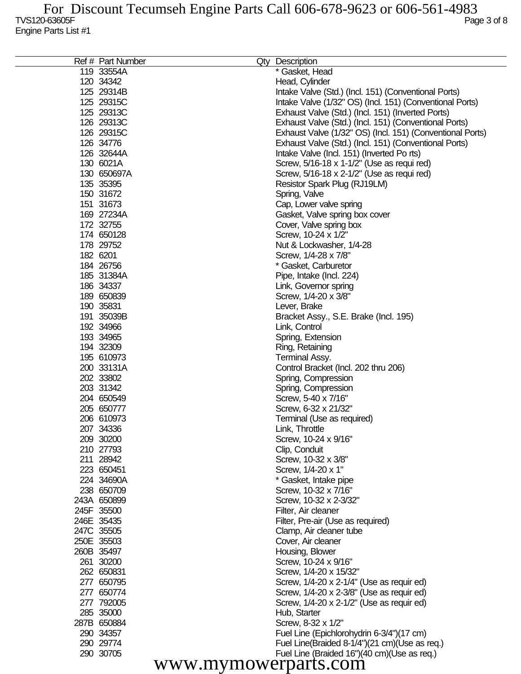| Ref # Part Number    | Qty Description                                           |
|----------------------|-----------------------------------------------------------|
| 119 33554A           | * Gasket, Head                                            |
| 120 34342            | Head, Cylinder                                            |
| 125 29314B           | Intake Valve (Std.) (Incl. 151) (Conventional Ports)      |
| 125 29315C           | Intake Valve (1/32" OS) (Incl. 151) (Conventional Ports)  |
| 125 29313C           | Exhaust Valve (Std.) (Incl. 151) (Inverted Ports)         |
| 126 29313C           | Exhaust Valve (Std.) (Incl. 151) (Conventional Ports)     |
| 126 29315C           | Exhaust Valve (1/32" OS) (Incl. 151) (Conventional Ports) |
| 126 34776            | Exhaust Valve (Std.) (Incl. 151) (Conventional Ports)     |
| 126 32644A           |                                                           |
|                      | Intake Valve (Incl. 151) (Inverted Po rts)                |
| 130 6021A            | Screw, 5/16-18 x 1-1/2" (Use as requi red)                |
| 130 650697A          | Screw, 5/16-18 x 2-1/2" (Use as requi red)                |
| 135 35395            | Resistor Spark Plug (RJ19LM)                              |
| 150 31672            | Spring, Valve                                             |
| 151 31673            | Cap, Lower valve spring                                   |
| 169 27234A           | Gasket, Valve spring box cover                            |
| 172 32755            | Cover, Valve spring box                                   |
| 174 650128           | Screw, 10-24 x 1/2"                                       |
| 178 29752            | Nut & Lockwasher, 1/4-28                                  |
| 182 6201             | Screw, 1/4-28 x 7/8"                                      |
| 184 26756            | * Gasket, Carburetor                                      |
| 185 31384A           | Pipe, Intake (Incl. 224)                                  |
| 186 34337            | Link, Governor spring                                     |
| 189 650839           | Screw, 1/4-20 x 3/8"                                      |
| 190 35831            | Lever, Brake                                              |
| 191 35039B           | Bracket Assy., S.E. Brake (Incl. 195)                     |
| 192 34966            | Link, Control                                             |
| 193 34965            |                                                           |
|                      | Spring, Extension                                         |
| 194 32309            | Ring, Retaining                                           |
| 195 610973           | Terminal Assy.                                            |
| 200 33131A           | Control Bracket (Incl. 202 thru 206)                      |
| 202 33802            | Spring, Compression                                       |
| 203 31342            | Spring, Compression                                       |
| 204 650549           | Screw, 5-40 x 7/16"                                       |
| 205 650777           | Screw, 6-32 x 21/32"                                      |
| 206 610973           | Terminal (Use as required)                                |
| 207 34336            | Link, Throttle                                            |
| 209 30200            | Screw, 10-24 x 9/16"                                      |
| 210 27793            | Clip, Conduit                                             |
| 211 28942            | Screw, 10-32 x 3/8"                                       |
| 223 650451           | Screw, 1/4-20 x 1"                                        |
| 224 34690A           | * Gasket, Intake pipe                                     |
| 238 650709           | Screw, 10-32 x 7/16"                                      |
| 243A 650899          | Screw, 10-32 x 2-3/32"                                    |
| 245F 35500           | Filter, Air cleaner                                       |
| 246E 35435           | Filter, Pre-air (Use as required)                         |
| 247C 35505           | Clamp, Air cleaner tube                                   |
| 250E 35503           | Cover, Air cleaner                                        |
| 260B 35497           | Housing, Blower                                           |
| 261 30200            | Screw, 10-24 x 9/16"                                      |
| 262 650831           | Screw, 1/4-20 x 15/32"                                    |
|                      |                                                           |
| 277 650795           | Screw, 1/4-20 x 2-1/4" (Use as requir ed)                 |
| 277 650774           | Screw, 1/4-20 x 2-3/8" (Use as requir ed)                 |
| 277 792005           | Screw, 1/4-20 x 2-1/2" (Use as requir ed)                 |
| 285 35000            | Hub, Starter                                              |
| 287B 650884          | Screw, 8-32 x 1/2"                                        |
| 290 34357            | Fuel Line (Epichlorohydrin 6-3/4")(17 cm)                 |
| 290 29774            | Fuel Line(Braided 8-1/4")(21 cm)(Use as req.)             |
| 290 30705            | Fuel Line (Braided 16")(40 cm)(Use as req.)               |
| www.mymowerparts.com |                                                           |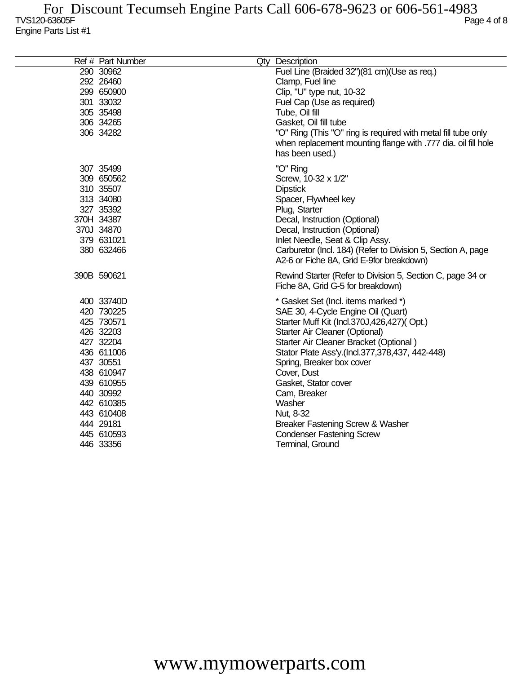| Ref # Part Number | Qty Description                                                                                                                                   |
|-------------------|---------------------------------------------------------------------------------------------------------------------------------------------------|
| 290 30962         | Fuel Line (Braided 32")(81 cm)(Use as req.)                                                                                                       |
| 292 26460         | Clamp, Fuel line                                                                                                                                  |
| 299 650900        | Clip, "U" type nut, 10-32                                                                                                                         |
| 301 33032         | Fuel Cap (Use as required)                                                                                                                        |
| 305 35498         | Tube, Oil fill                                                                                                                                    |
| 306 34265         | Gasket, Oil fill tube                                                                                                                             |
| 306 34282         | "O" Ring (This "O" ring is required with metal fill tube only<br>when replacement mounting flange with .777 dia. oil fill hole<br>has been used.) |
| 307 35499         | "O" Ring                                                                                                                                          |
| 309 650562        | Screw, 10-32 x 1/2"                                                                                                                               |
| 310 35507         | <b>Dipstick</b>                                                                                                                                   |
| 313 34080         | Spacer, Flywheel key                                                                                                                              |
| 327 35392         | Plug, Starter                                                                                                                                     |
| 370H 34387        | Decal, Instruction (Optional)                                                                                                                     |
| 370J 34870        | Decal, Instruction (Optional)                                                                                                                     |
| 379 631021        | Inlet Needle, Seat & Clip Assy.                                                                                                                   |
| 380 632466        | Carburetor (Incl. 184) (Refer to Division 5, Section A, page<br>A2-6 or Fiche 8A, Grid E-9for breakdown)                                          |
| 390B 590621       | Rewind Starter (Refer to Division 5, Section C, page 34 or<br>Fiche 8A, Grid G-5 for breakdown)                                                   |
| 400 33740D        | * Gasket Set (Incl. items marked *)                                                                                                               |
| 420 730225        | SAE 30, 4-Cycle Engine Oil (Quart)                                                                                                                |
| 425 730571        | Starter Muff Kit (Incl.370J,426,427)(Opt.)                                                                                                        |
| 426 32203         | Starter Air Cleaner (Optional)                                                                                                                    |
| 427 32204         | Starter Air Cleaner Bracket (Optional)                                                                                                            |
| 436 611006        | Stator Plate Ass'y.(Incl.377,378,437, 442-448)                                                                                                    |
| 437 30551         | Spring, Breaker box cover                                                                                                                         |
| 438 610947        | Cover, Dust                                                                                                                                       |
| 439 610955        | Gasket, Stator cover                                                                                                                              |
| 440 30992         | Cam, Breaker                                                                                                                                      |
| 442 610385        | Washer                                                                                                                                            |
| 443 610408        | Nut, 8-32                                                                                                                                         |
| 444 29181         | Breaker Fastening Screw & Washer                                                                                                                  |
| 445 610593        | <b>Condenser Fastening Screw</b>                                                                                                                  |
| 446 33356         | Terminal, Ground                                                                                                                                  |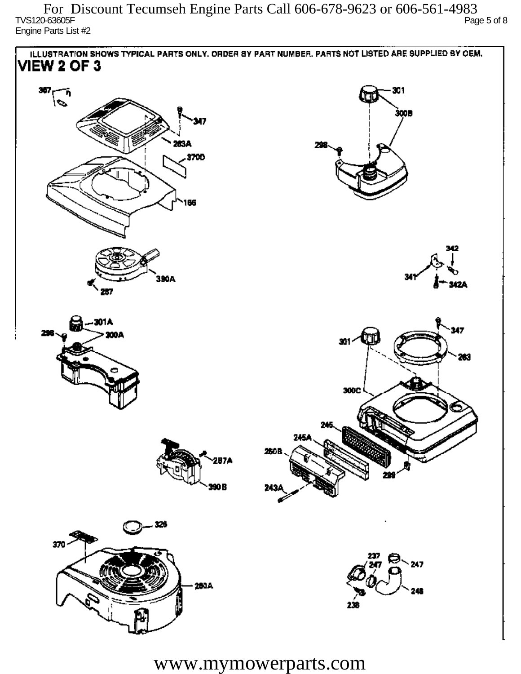TVS120-63605F Page 5 of 8 Engine Parts List #2 For Discount Tecumseh Engine Parts Call 606-678-9623 or 606-561-4983

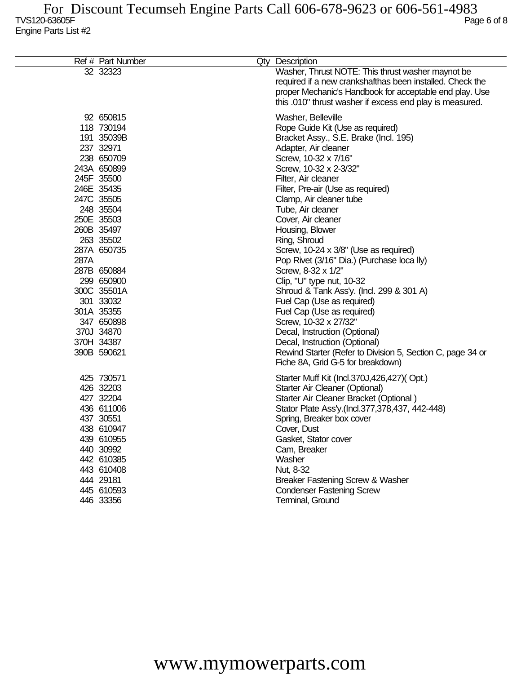|      | Ref # Part Number                                                                                                                                                                                                                                                                                                              | Qty Description                                                                                                                                                                                                                                                                                                                                                                                                                                                                                                                                                                                                                                                                                                                                           |
|------|--------------------------------------------------------------------------------------------------------------------------------------------------------------------------------------------------------------------------------------------------------------------------------------------------------------------------------|-----------------------------------------------------------------------------------------------------------------------------------------------------------------------------------------------------------------------------------------------------------------------------------------------------------------------------------------------------------------------------------------------------------------------------------------------------------------------------------------------------------------------------------------------------------------------------------------------------------------------------------------------------------------------------------------------------------------------------------------------------------|
|      | 32 32323                                                                                                                                                                                                                                                                                                                       | Washer, Thrust NOTE: This thrust washer maynot be<br>required if a new crankshafthas been installed. Check the<br>proper Mechanic's Handbook for acceptable end play. Use<br>this .010" thrust washer if excess end play is measured.                                                                                                                                                                                                                                                                                                                                                                                                                                                                                                                     |
| 287A | 92 650815<br>118 730194<br>191 35039B<br>237 32971<br>238 650709<br>243A 650899<br>245F 35500<br>246E 35435<br>247C 35505<br>248 35504<br>250E 35503<br>260B 35497<br>263 35502<br>287A 650735<br>287B 650884<br>299 650900<br>300C 35501A<br>301 33032<br>301A 35355<br>347 650898<br>370J 34870<br>370H 34387<br>390B 590621 | Washer, Belleville<br>Rope Guide Kit (Use as required)<br>Bracket Assy., S.E. Brake (Incl. 195)<br>Adapter, Air cleaner<br>Screw, 10-32 x 7/16"<br>Screw, 10-32 x 2-3/32"<br>Filter, Air cleaner<br>Filter, Pre-air (Use as required)<br>Clamp, Air cleaner tube<br>Tube, Air cleaner<br>Cover, Air cleaner<br>Housing, Blower<br>Ring, Shroud<br>Screw, 10-24 x 3/8" (Use as required)<br>Pop Rivet (3/16" Dia.) (Purchase loca lly)<br>Screw, 8-32 x 1/2"<br>Clip, "U" type nut, 10-32<br>Shroud & Tank Ass'y. (Incl. 299 & 301 A)<br>Fuel Cap (Use as required)<br>Fuel Cap (Use as required)<br>Screw, 10-32 x 27/32"<br>Decal, Instruction (Optional)<br>Decal, Instruction (Optional)<br>Rewind Starter (Refer to Division 5, Section C, page 34 or |
|      | 425 730571<br>426 32203<br>427 32204<br>436 611006<br>437 30551<br>438 610947<br>439 610955<br>440 30992<br>442 610385<br>443 610408<br>444 29181<br>445 610593<br>446 33356                                                                                                                                                   | Fiche 8A, Grid G-5 for breakdown)<br>Starter Muff Kit (Incl.370J,426,427)(Opt.)<br>Starter Air Cleaner (Optional)<br>Starter Air Cleaner Bracket (Optional)<br>Stator Plate Ass'y.(Incl.377,378,437, 442-448)<br>Spring, Breaker box cover<br>Cover, Dust<br>Gasket, Stator cover<br>Cam, Breaker<br>Washer<br>Nut, 8-32<br>Breaker Fastening Screw & Washer<br><b>Condenser Fastening Screw</b><br>Terminal, Ground                                                                                                                                                                                                                                                                                                                                      |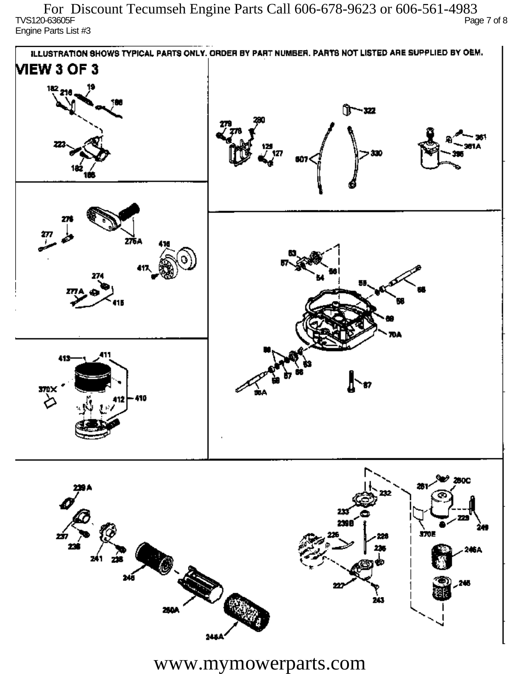TVS120-63605F Page 7 of 8 Engine Parts List #3 For Discount Tecumseh Engine Parts Call 606-678-9623 or 606-561-4983